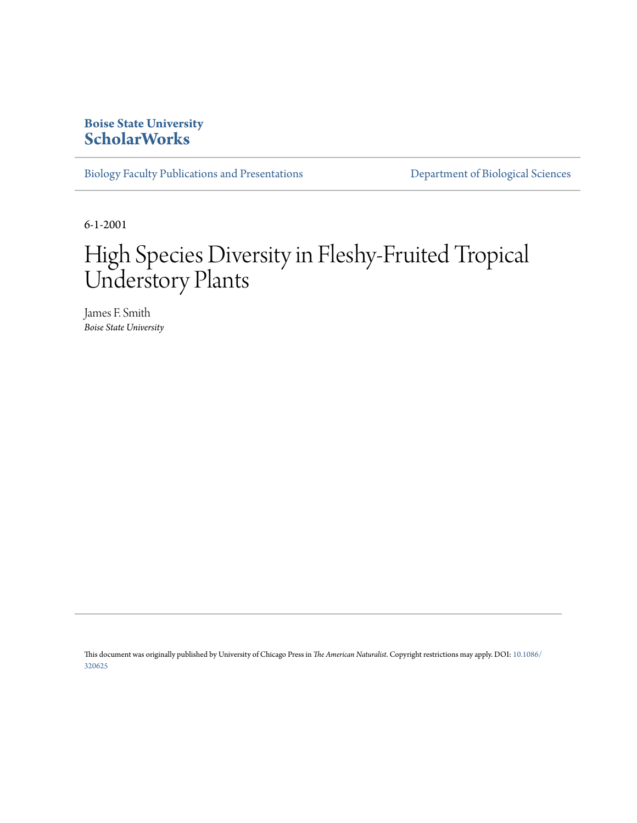### **Boise State University [ScholarWorks](https://scholarworks.boisestate.edu)**

[Biology Faculty Publications and Presentations](https://scholarworks.boisestate.edu/bio_facpubs) **[Department of Biological Sciences](https://scholarworks.boisestate.edu/biosciences)** 

6-1-2001

# High Species Diversity in Fleshy-Fruited Tropical Understory Plants

James F. Smith *Boise State University*

This document was originally published by University of Chicago Press in *The American Naturalist*. Copyright restrictions may apply. DOI: [10.1086/](http://dx.doi.org/10.1086/320625) [320625](http://dx.doi.org/10.1086/320625)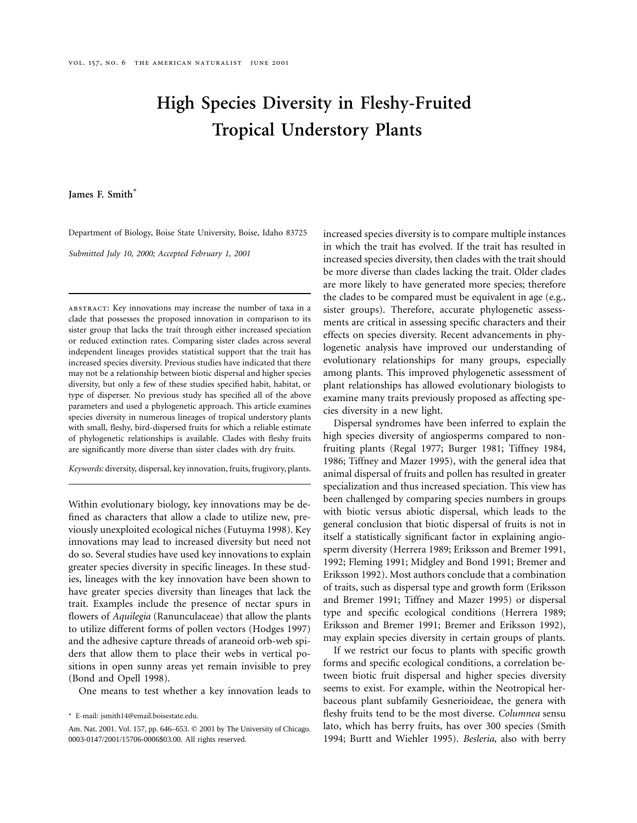## **High Species Diversity in Fleshy-Fruited Tropical Understory Plants**

**James F. Smith\***

Department of Biology, Boise State University, Boise, Idaho 83725

*Submitted July 10, 2000; Accepted February 1, 2001*

abstract: Key innovations may increase the number of taxa in a clade that possesses the proposed innovation in comparison to its sister group that lacks the trait through either increased speciation or reduced extinction rates. Comparing sister clades across several independent lineages provides statistical support that the trait has increased species diversity. Previous studies have indicated that there may not be a relationship between biotic dispersal and higher species diversity, but only a few of these studies specified habit, habitat, or type of disperser. No previous study has specified all of the above parameters and used a phylogenetic approach. This article examines species diversity in numerous lineages of tropical understory plants with small, fleshy, bird-dispersed fruits for which a reliable estimate of phylogenetic relationships is available. Clades with fleshy fruits are significantly more diverse than sister clades with dry fruits.

*Keywords:* diversity, dispersal, key innovation, fruits, frugivory, plants.

Within evolutionary biology, key innovations may be defined as characters that allow a clade to utilize new, previously unexploited ecological niches (Futuyma 1998). Key innovations may lead to increased diversity but need not do so. Several studies have used key innovations to explain greater species diversity in specific lineages. In these studies, lineages with the key innovation have been shown to have greater species diversity than lineages that lack the trait. Examples include the presence of nectar spurs in flowers of *Aquilegia* (Ranunculaceae) that allow the plants to utilize different forms of pollen vectors (Hodges 1997) and the adhesive capture threads of araneoid orb-web spiders that allow them to place their webs in vertical positions in open sunny areas yet remain invisible to prey (Bond and Opell 1998).

One means to test whether a key innovation leads to

increased species diversity is to compare multiple instances in which the trait has evolved. If the trait has resulted in increased species diversity, then clades with the trait should be more diverse than clades lacking the trait. Older clades are more likely to have generated more species; therefore the clades to be compared must be equivalent in age (e.g., sister groups). Therefore, accurate phylogenetic assessments are critical in assessing specific characters and their effects on species diversity. Recent advancements in phylogenetic analysis have improved our understanding of evolutionary relationships for many groups, especially among plants. This improved phylogenetic assessment of plant relationships has allowed evolutionary biologists to examine many traits previously proposed as affecting species diversity in a new light.

Dispersal syndromes have been inferred to explain the high species diversity of angiosperms compared to nonfruiting plants (Regal 1977; Burger 1981; Tiffney 1984, 1986; Tiffney and Mazer 1995), with the general idea that animal dispersal of fruits and pollen has resulted in greater specialization and thus increased speciation. This view has been challenged by comparing species numbers in groups with biotic versus abiotic dispersal, which leads to the general conclusion that biotic dispersal of fruits is not in itself a statistically significant factor in explaining angiosperm diversity (Herrera 1989; Eriksson and Bremer 1991, 1992; Fleming 1991; Midgley and Bond 1991; Bremer and Eriksson 1992). Most authors conclude that a combination of traits, such as dispersal type and growth form (Eriksson and Bremer 1991; Tiffney and Mazer 1995) or dispersal type and specific ecological conditions (Herrera 1989; Eriksson and Bremer 1991; Bremer and Eriksson 1992), may explain species diversity in certain groups of plants.

If we restrict our focus to plants with specific growth forms and specific ecological conditions, a correlation between biotic fruit dispersal and higher species diversity seems to exist. For example, within the Neotropical herbaceous plant subfamily Gesnerioideae, the genera with fleshy fruits tend to be the most diverse. *Columnea* sensu lato, which has berry fruits, has over 300 species (Smith 1994; Burtt and Wiehler 1995). *Besleria*, also with berry

<sup>\*</sup> E-mail: jsmith14@email.boisestate.edu.

Am. Nat. 2001. Vol. 157, pp. 646–653. © 2001 by The University of Chicago. 0003-0147/2001/15706-0006\$03.00. All rights reserved.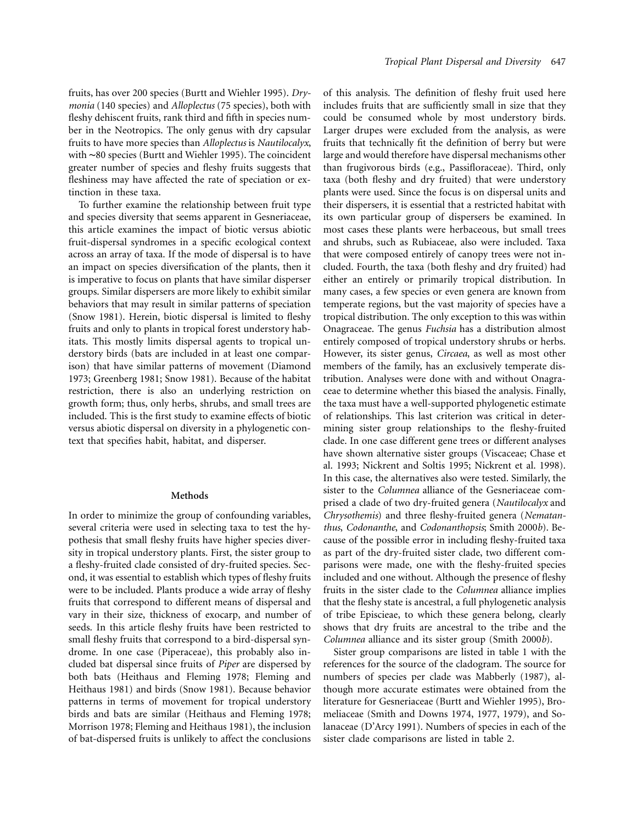fruits, has over 200 species (Burtt and Wiehler 1995). *Drymonia* (140 species) and *Alloplectus* (75 species), both with fleshy dehiscent fruits, rank third and fifth in species number in the Neotropics. The only genus with dry capsular fruits to have more species than *Alloplectus* is *Nautilocalyx*, with ∼80 species (Burtt and Wiehler 1995). The coincident greater number of species and fleshy fruits suggests that fleshiness may have affected the rate of speciation or extinction in these taxa.

To further examine the relationship between fruit type and species diversity that seems apparent in Gesneriaceae, this article examines the impact of biotic versus abiotic fruit-dispersal syndromes in a specific ecological context across an array of taxa. If the mode of dispersal is to have an impact on species diversification of the plants, then it is imperative to focus on plants that have similar disperser groups. Similar dispersers are more likely to exhibit similar behaviors that may result in similar patterns of speciation (Snow 1981). Herein, biotic dispersal is limited to fleshy fruits and only to plants in tropical forest understory habitats. This mostly limits dispersal agents to tropical understory birds (bats are included in at least one comparison) that have similar patterns of movement (Diamond 1973; Greenberg 1981; Snow 1981). Because of the habitat restriction, there is also an underlying restriction on growth form; thus, only herbs, shrubs, and small trees are included. This is the first study to examine effects of biotic versus abiotic dispersal on diversity in a phylogenetic context that specifies habit, habitat, and disperser.

#### **Methods**

In order to minimize the group of confounding variables, several criteria were used in selecting taxa to test the hypothesis that small fleshy fruits have higher species diversity in tropical understory plants. First, the sister group to a fleshy-fruited clade consisted of dry-fruited species. Second, it was essential to establish which types of fleshy fruits were to be included. Plants produce a wide array of fleshy fruits that correspond to different means of dispersal and vary in their size, thickness of exocarp, and number of seeds. In this article fleshy fruits have been restricted to small fleshy fruits that correspond to a bird-dispersal syndrome. In one case (Piperaceae), this probably also included bat dispersal since fruits of *Piper* are dispersed by both bats (Heithaus and Fleming 1978; Fleming and Heithaus 1981) and birds (Snow 1981). Because behavior patterns in terms of movement for tropical understory birds and bats are similar (Heithaus and Fleming 1978; Morrison 1978; Fleming and Heithaus 1981), the inclusion of bat-dispersed fruits is unlikely to affect the conclusions of this analysis. The definition of fleshy fruit used here includes fruits that are sufficiently small in size that they could be consumed whole by most understory birds. Larger drupes were excluded from the analysis, as were fruits that technically fit the definition of berry but were large and would therefore have dispersal mechanisms other than frugivorous birds (e.g., Passifloraceae). Third, only taxa (both fleshy and dry fruited) that were understory plants were used. Since the focus is on dispersal units and their dispersers, it is essential that a restricted habitat with its own particular group of dispersers be examined. In most cases these plants were herbaceous, but small trees and shrubs, such as Rubiaceae, also were included. Taxa that were composed entirely of canopy trees were not included. Fourth, the taxa (both fleshy and dry fruited) had either an entirely or primarily tropical distribution. In many cases, a few species or even genera are known from temperate regions, but the vast majority of species have a tropical distribution. The only exception to this was within Onagraceae. The genus *Fuchsia* has a distribution almost entirely composed of tropical understory shrubs or herbs. However, its sister genus, *Circaea*, as well as most other members of the family, has an exclusively temperate distribution. Analyses were done with and without Onagraceae to determine whether this biased the analysis. Finally, the taxa must have a well-supported phylogenetic estimate of relationships. This last criterion was critical in determining sister group relationships to the fleshy-fruited clade. In one case different gene trees or different analyses have shown alternative sister groups (Viscaceae; Chase et al. 1993; Nickrent and Soltis 1995; Nickrent et al. 1998). In this case, the alternatives also were tested. Similarly, the sister to the *Columnea* alliance of the Gesneriaceae comprised a clade of two dry-fruited genera (*Nautilocalyx* and *Chrysothemis*) and three fleshy-fruited genera (*Nematanthus*, *Codonanthe*, and *Codonanthopsis*; Smith 2000*b*). Because of the possible error in including fleshy-fruited taxa as part of the dry-fruited sister clade, two different comparisons were made, one with the fleshy-fruited species included and one without. Although the presence of fleshy fruits in the sister clade to the *Columnea* alliance implies that the fleshy state is ancestral, a full phylogenetic analysis of tribe Episcieae, to which these genera belong, clearly shows that dry fruits are ancestral to the tribe and the *Columnea* alliance and its sister group (Smith 2000*b*).

Sister group comparisons are listed in table 1 with the references for the source of the cladogram. The source for numbers of species per clade was Mabberly (1987), although more accurate estimates were obtained from the literature for Gesneriaceae (Burtt and Wiehler 1995), Bromeliaceae (Smith and Downs 1974, 1977, 1979), and Solanaceae (D'Arcy 1991). Numbers of species in each of the sister clade comparisons are listed in table 2.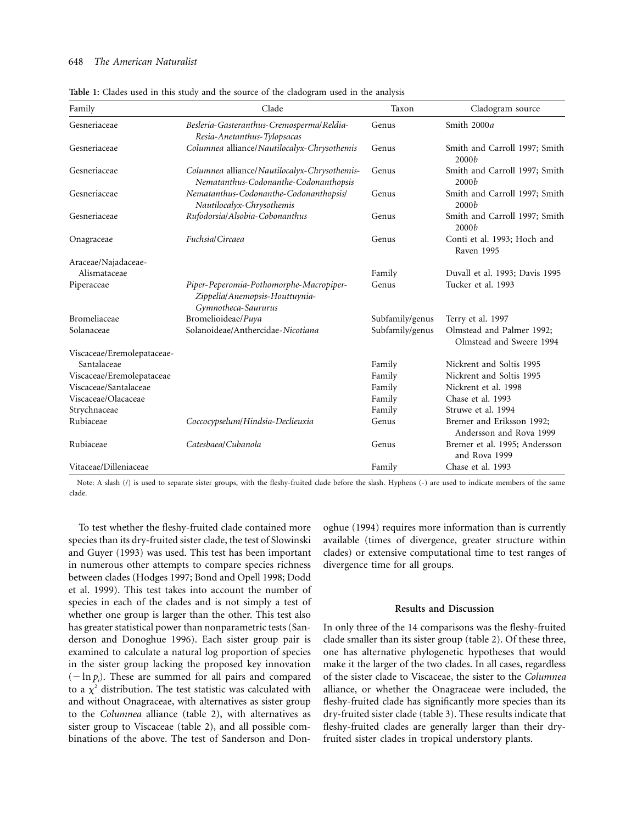#### 648 *The American Naturalist*

| Family                     | Clade                                                                                            | Taxon           | Cladogram source                                      |
|----------------------------|--------------------------------------------------------------------------------------------------|-----------------|-------------------------------------------------------|
| Gesneriaceae               | Besleria-Gasteranthus-Cremosperma/Reldia-<br>Resia-Anetanthus-Tylopsacas                         | Genus           | Smith 2000a                                           |
| Gesneriaceae               | Columnea alliance/Nautilocalyx-Chrysothemis                                                      | Genus           | Smith and Carroll 1997; Smith<br>2000 <sub>b</sub>    |
| Gesneriaceae               | Columnea alliance/Nautilocalyx-Chrysothemis-<br>Nematanthus-Codonanthe-Codonanthopsis            | Genus           | Smith and Carroll 1997; Smith<br>2000 <sub>b</sub>    |
| Gesneriaceae               | Nematanthus-Codonanthe-Codonanthopsis/<br>Nautilocalyx-Chrysothemis                              | Genus           | Smith and Carroll 1997; Smith<br>2000 <sub>b</sub>    |
| Gesneriaceae               | Rufodorsial Alsobia-Cobonanthus                                                                  | Genus           | Smith and Carroll 1997; Smith<br>2000b                |
| Onagraceae                 | Fuchsial Circaea                                                                                 | Genus           | Conti et al. 1993; Hoch and<br>Raven 1995             |
| Araceae/Najadaceae-        |                                                                                                  |                 |                                                       |
| Alismataceae               |                                                                                                  | Family          | Duvall et al. 1993; Davis 1995                        |
| Piperaceae                 | Piper-Peperomia-Pothomorphe-Macropiper-<br>Zippelia/Anemopsis-Houttuynia-<br>Gymnotheca-Saururus | Genus           | Tucker et al. 1993                                    |
| <b>Bromeliaceae</b>        | Bromelioideae/Puya                                                                               | Subfamily/genus | Terry et al. 1997                                     |
| Solanaceae                 | Solanoideae/Anthercidae-Nicotiana                                                                | Subfamily/genus | Olmstead and Palmer 1992;<br>Olmstead and Sweere 1994 |
| Viscaceae/Eremolepataceae- |                                                                                                  |                 |                                                       |
| Santalaceae                |                                                                                                  | Family          | Nickrent and Soltis 1995                              |
| Viscaceae/Eremolepataceae  |                                                                                                  | Family          | Nickrent and Soltis 1995                              |
| Viscaceae/Santalaceae      |                                                                                                  | Family          | Nickrent et al. 1998                                  |
| Viscaceae/Olacaceae        |                                                                                                  | Family          | Chase et al. 1993                                     |
| Strychnaceae               |                                                                                                  | Family          | Struwe et al. 1994                                    |
| Rubiaceae                  | Coccocypselum/Hindsia-Declieuxia                                                                 | Genus           | Bremer and Eriksson 1992;<br>Andersson and Rova 1999  |
| Rubiaceae                  | Catesbaeal Cubanola                                                                              | Genus           | Bremer et al. 1995; Andersson<br>and Rova 1999        |
| Vitaceae/Dilleniaceae      |                                                                                                  | Family          | Chase et al. 1993                                     |

**Table 1:** Clades used in this study and the source of the cladogram used in the analysis

Note: A slash (/) is used to separate sister groups, with the fleshy-fruited clade before the slash. Hyphens (-) are used to indicate members of the same clade.

To test whether the fleshy-fruited clade contained more species than its dry-fruited sister clade, the test of Slowinski and Guyer (1993) was used. This test has been important in numerous other attempts to compare species richness between clades (Hodges 1997; Bond and Opell 1998; Dodd et al. 1999). This test takes into account the number of species in each of the clades and is not simply a test of whether one group is larger than the other. This test also has greater statistical power than nonparametric tests (Sanderson and Donoghue 1996). Each sister group pair is examined to calculate a natural log proportion of species in the sister group lacking the proposed key innovation  $(-\ln p_i)$ . These are summed for all pairs and compared to a  $\chi^2$  distribution. The test statistic was calculated with and without Onagraceae, with alternatives as sister group to the *Columnea* alliance (table 2), with alternatives as sister group to Viscaceae (table 2), and all possible combinations of the above. The test of Sanderson and Donoghue (1994) requires more information than is currently available (times of divergence, greater structure within clades) or extensive computational time to test ranges of divergence time for all groups.

#### **Results and Discussion**

In only three of the 14 comparisons was the fleshy-fruited clade smaller than its sister group (table 2). Of these three, one has alternative phylogenetic hypotheses that would make it the larger of the two clades. In all cases, regardless of the sister clade to Viscaceae, the sister to the *Columnea* alliance, or whether the Onagraceae were included, the fleshy-fruited clade has significantly more species than its dry-fruited sister clade (table 3). These results indicate that fleshy-fruited clades are generally larger than their dryfruited sister clades in tropical understory plants.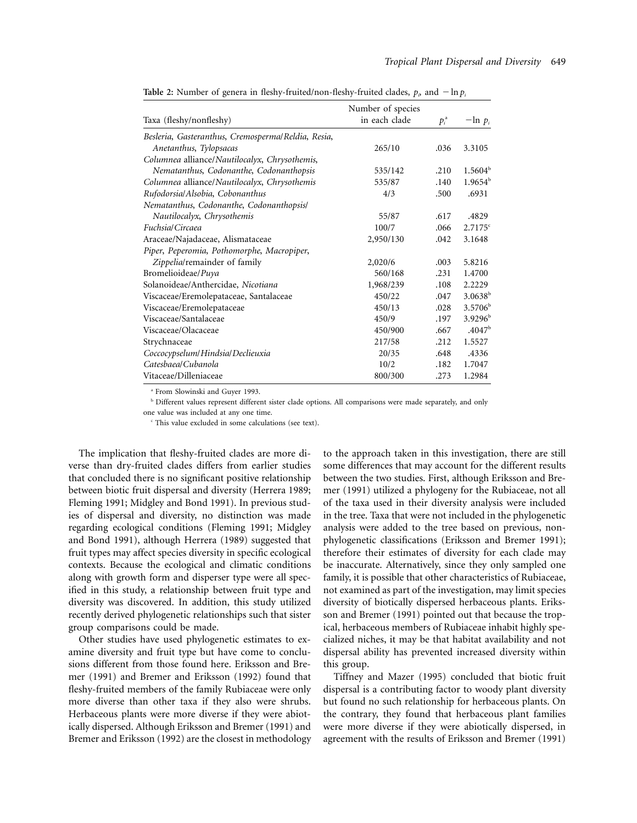| Taxa (fleshy/nonfleshy)                            | Number of species<br>in each clade | $p_i^{\rm a}$ | $-\ln p_i$          |
|----------------------------------------------------|------------------------------------|---------------|---------------------|
| Besleria, Gasteranthus, Cremosperma/Reldia, Resia, |                                    |               |                     |
| Anetanthus, Tylopsacas                             | 265/10                             | .036          | 3.3105              |
| Columnea alliance/Nautilocalyx, Chrysothemis,      |                                    |               |                     |
| Nematanthus, Codonanthe, Codonanthopsis            | 535/142                            | .210          | 1.5604 <sup>b</sup> |
| Columnea alliance/Nautilocalyx, Chrysothemis       | 535/87                             | .140          | $1.9654^{\rm b}$    |
| Rufodorsia/Alsobia, Cobonanthus                    | 4/3                                | .500          | .6931               |
| Nematanthus, Codonanthe, Codonanthopsis/           |                                    |               |                     |
| Nautilocalyx, Chrysothemis                         | 55/87                              | .617          | .4829               |
| Fuchsial Circaea                                   | 100/7                              | .066          | 2.7175c             |
| Araceae/Najadaceae, Alismataceae                   | 2,950/130                          | .042          | 3.1648              |
| Piper, Peperomia, Pothomorphe, Macropiper,         |                                    |               |                     |
| Zippelia/remainder of family                       | 2,020/6                            | .003          | 5.8216              |
| Bromelioideae/Puya                                 | 560/168                            | .231          | 1.4700              |
| Solanoideae/Anthercidae, Nicotiana                 | 1,968/239                          | .108          | 2.2229              |
| Viscaceae/Eremolepataceae, Santalaceae             | 450/22                             | .047          | $3.0638^{b}$        |
| Viscaceae/Eremolepataceae                          | 450/13                             | .028          | $3.5706^b$          |
| Viscaceae/Santalaceae                              | 450/9                              | .197          | 3.9296 <sup>b</sup> |
| Viscaceae/Olacaceae                                | 450/900                            | .667          | $.4047^b$           |
| Strychnaceae                                       | 217/58                             | .212          | 1.5527              |
| Coccocypselum/Hindsia/Declieuxia                   | 20/35                              | .648          | .4336               |
| Catesbaea/Cubanola                                 | 10/2                               | .182          | 1.7047              |
| Vitaceae/Dilleniaceae                              | 800/300                            | .273          | 1.2984              |

Table 2: Number of genera in fleshy-fruited/non-fleshy-fruited clades,  $p_{\scriptscriptstyle \rho}$  and  $-\ln p_{\scriptscriptstyle \rho}$ 

<sup>a</sup> From Slowinski and Guyer 1993.

**b** Different values represent different sister clade options. All comparisons were made separately, and only

one value was included at any one time.

This value excluded in some calculations (see text).

The implication that fleshy-fruited clades are more diverse than dry-fruited clades differs from earlier studies that concluded there is no significant positive relationship between biotic fruit dispersal and diversity (Herrera 1989; Fleming 1991; Midgley and Bond 1991). In previous studies of dispersal and diversity, no distinction was made regarding ecological conditions (Fleming 1991; Midgley and Bond 1991), although Herrera (1989) suggested that fruit types may affect species diversity in specific ecological contexts. Because the ecological and climatic conditions along with growth form and disperser type were all specified in this study, a relationship between fruit type and diversity was discovered. In addition, this study utilized recently derived phylogenetic relationships such that sister group comparisons could be made.

Other studies have used phylogenetic estimates to examine diversity and fruit type but have come to conclusions different from those found here. Eriksson and Bremer (1991) and Bremer and Eriksson (1992) found that fleshy-fruited members of the family Rubiaceae were only more diverse than other taxa if they also were shrubs. Herbaceous plants were more diverse if they were abiotically dispersed. Although Eriksson and Bremer (1991) and Bremer and Eriksson (1992) are the closest in methodology

to the approach taken in this investigation, there are still some differences that may account for the different results between the two studies. First, although Eriksson and Bremer (1991) utilized a phylogeny for the Rubiaceae, not all of the taxa used in their diversity analysis were included in the tree. Taxa that were not included in the phylogenetic analysis were added to the tree based on previous, nonphylogenetic classifications (Eriksson and Bremer 1991); therefore their estimates of diversity for each clade may be inaccurate. Alternatively, since they only sampled one family, it is possible that other characteristics of Rubiaceae, not examined as part of the investigation, may limit species diversity of biotically dispersed herbaceous plants. Eriksson and Bremer (1991) pointed out that because the tropical, herbaceous members of Rubiaceae inhabit highly specialized niches, it may be that habitat availability and not dispersal ability has prevented increased diversity within this group.

Tiffney and Mazer (1995) concluded that biotic fruit dispersal is a contributing factor to woody plant diversity but found no such relationship for herbaceous plants. On the contrary, they found that herbaceous plant families were more diverse if they were abiotically dispersed, in agreement with the results of Eriksson and Bremer (1991)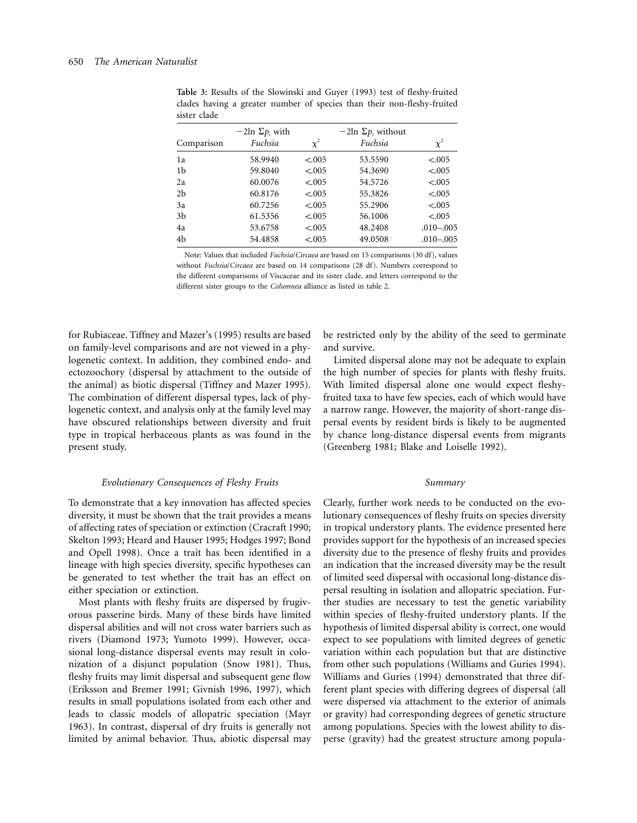| Comparison | $-2\ln \Sigma p_i$ with<br>Fuchsia | $\chi^2$ | $-2\ln \Sigma p_i$ without<br>Fuchsia | $\chi^2$      |
|------------|------------------------------------|----------|---------------------------------------|---------------|
| 1a         | 58.9940                            | < 0.005  | 53.5590                               | < 0.005       |
| 1b         | 59.8040                            | < 0.005  | 54.3690                               | < 0.005       |
| 2a         | 60.0076                            | < 0.005  | 54.5726                               | < 0.005       |
| 2b         | 60.8176                            | < 0.005  | 55.3826                               | < 0.005       |
| 3a         | 60.7256                            | < 0.005  | 55.2906                               | < 0.005       |
| 3b         | 61.5356                            | < 0.005  | 56.1006                               | < 0.005       |
| 4a         | 53.6758                            | < 0.005  | 48.2408                               | $.010 - .005$ |
| 4b         | 54.4858                            | < 0.005  | 49.0508                               | $.010 - .005$ |

**Table 3:** Results of the Slowinski and Guyer (1993) test of fleshy-fruited clades having a greater number of species than their non-fleshy-fruited sister clade

Note: Values that included *Fuchsia*/*Circaea* are based on 15 comparisons (30 df), values without *Fuchsia*/*Circaea* are based on 14 comparisons (28 df). Numbers correspond to the different comparisons of Viscaceae and its sister clade, and letters correspond to the different sister groups to the *Columnea* alliance as listed in table 2.

for Rubiaceae. Tiffney and Mazer's (1995) results are based on family-level comparisons and are not viewed in a phylogenetic context. In addition, they combined endo- and ectozoochory (dispersal by attachment to the outside of the animal) as biotic dispersal (Tiffney and Mazer 1995). The combination of different dispersal types, lack of phylogenetic context, and analysis only at the family level may have obscured relationships between diversity and fruit type in tropical herbaceous plants as was found in the present study.

#### *Evolutionary Consequences of Fleshy Fruits*

To demonstrate that a key innovation has affected species diversity, it must be shown that the trait provides a means of affecting rates of speciation or extinction (Cracraft 1990; Skelton 1993; Heard and Hauser 1995; Hodges 1997; Bond and Opell 1998). Once a trait has been identified in a lineage with high species diversity, specific hypotheses can be generated to test whether the trait has an effect on either speciation or extinction.

Most plants with fleshy fruits are dispersed by frugivorous passerine birds. Many of these birds have limited dispersal abilities and will not cross water barriers such as rivers (Diamond 1973; Yumoto 1999). However, occasional long-distance dispersal events may result in colonization of a disjunct population (Snow 1981). Thus, fleshy fruits may limit dispersal and subsequent gene flow (Eriksson and Bremer 1991; Givnish 1996, 1997), which results in small populations isolated from each other and leads to classic models of allopatric speciation (Mayr 1963). In contrast, dispersal of dry fruits is generally not limited by animal behavior. Thus, abiotic dispersal may

be restricted only by the ability of the seed to germinate and survive.

Limited dispersal alone may not be adequate to explain the high number of species for plants with fleshy fruits. With limited dispersal alone one would expect fleshyfruited taxa to have few species, each of which would have a narrow range. However, the majority of short-range dispersal events by resident birds is likely to be augmented by chance long-distance dispersal events from migrants (Greenberg 1981; Blake and Loiselle 1992).

#### *Summary*

Clearly, further work needs to be conducted on the evolutionary consequences of fleshy fruits on species diversity in tropical understory plants. The evidence presented here provides support for the hypothesis of an increased species diversity due to the presence of fleshy fruits and provides an indication that the increased diversity may be the result of limited seed dispersal with occasional long-distance dispersal resulting in isolation and allopatric speciation. Further studies are necessary to test the genetic variability within species of fleshy-fruited understory plants. If the hypothesis of limited dispersal ability is correct, one would expect to see populations with limited degrees of genetic variation within each population but that are distinctive from other such populations (Williams and Guries 1994). Williams and Guries (1994) demonstrated that three different plant species with differing degrees of dispersal (all were dispersed via attachment to the exterior of animals or gravity) had corresponding degrees of genetic structure among populations. Species with the lowest ability to disperse (gravity) had the greatest structure among popula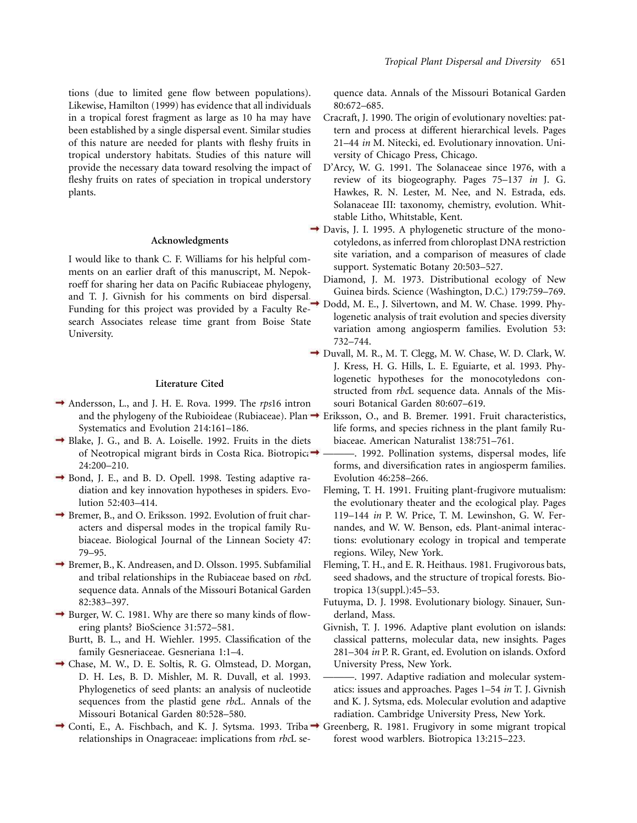tions (due to limited gene flow between populations). Likewise, Hamilton (1999) has evidence that all individuals in a tropical forest fragment as large as 10 ha may have been established by a single dispersal event. Similar studies of this nature are needed for plants with fleshy fruits in tropical understory habitats. Studies of this nature will provide the necessary data toward resolving the impact of fleshy fruits on rates of speciation in tropical understory plants.

#### **Acknowledgments**

I would like to thank C. F. Williams for his helpful comments on an earlier draft of this manuscript, M. Nepokroeff for sharing her data on Pacific Rubiaceae phylogeny, and T. J. Givnish for his comments on bird dispersal. Funding for this project was provided by a Faculty Research Associates release time grant from Boise State University.

#### **Literature Cited**

- Andersson, L., and J. H. E. Rova. 1999. The *rps*16 intron Systematics and Evolution 214:161–186.
- Blake, J. G., and B. A. Loiselle. 1992. Fruits in the diets of Neotropical migrant birds in Costa Rica. Biotropica 24:200–210.
- Bond, J. E., and B. D. Opell. 1998. Testing adaptive radiation and key innovation hypotheses in spiders. Evolution 52:403–414.
- Bremer, B., and O. Eriksson. 1992. Evolution of fruit characters and dispersal modes in the tropical family Rubiaceae. Biological Journal of the Linnean Society 47: 79–95.
- Bremer, B., K. Andreasen, and D. Olsson. 1995. Subfamilial and tribal relationships in the Rubiaceae based on *rbc*L sequence data. Annals of the Missouri Botanical Garden 82:383–397.
- **→** Burger, W. C. 1981. Why are there so many kinds of flowering plants? BioScience 31:572–581.

Burtt, B. L., and H. Wiehler. 1995. Classification of the family Gesneriaceae. Gesneriana 1:1–4.

- Chase, M. W., D. E. Soltis, R. G. Olmstead, D. Morgan, D. H. Les, B. D. Mishler, M. R. Duvall, et al. 1993. Phylogenetics of seed plants: an analysis of nucleotide sequences from the plastid gene *rbc*L. Annals of the Missouri Botanical Garden 80:528–580.
- $\rightarrow$  Conti, E., A. Fischbach, and K. J. Sytsma. 1993. Triba $\rightarrow$ relationships in Onagraceae: implications from *rbc*L se-

quence data. Annals of the Missouri Botanical Garden 80:672–685.

- Cracraft, J. 1990. The origin of evolutionary novelties: pattern and process at different hierarchical levels. Pages 21–44 *in* M. Nitecki, ed. Evolutionary innovation. University of Chicago Press, Chicago.
- D'Arcy, W. G. 1991. The Solanaceae since 1976, with a review of its biogeography. Pages 75–137 *in* J. G. Hawkes, R. N. Lester, M. Nee, and N. Estrada, eds. Solanaceae III: taxonomy, chemistry, evolution. Whitstable Litho, Whitstable, Kent.
- $\rightarrow$  Davis, J. I. 1995. A phylogenetic structure of the monocotyledons, as inferred from chloroplast DNA restriction site variation, and a comparison of measures of clade support. Systematic Botany 20:503–527.
	- Diamond, J. M. 1973. Distributional ecology of New Guinea birds. Science (Washington, D.C.) 179:759–769.
- Dodd, M. E., J. Silvertown, and M. W. Chase. 1999. Phylogenetic analysis of trait evolution and species diversity variation among angiosperm families. Evolution 53: 732–744.
- Duvall, M. R., M. T. Clegg, M. W. Chase, W. D. Clark, W. J. Kress, H. G. Hills, L. E. Eguiarte, et al. 1993. Phylogenetic hypotheses for the monocotyledons constructed from *rbc*L sequence data. Annals of the Missouri Botanical Garden 80:607–619.
- and the phylogeny of the Rubioideae (Rubiaceae). Plan  $\rightarrow$  Eriksson, O., and B. Bremer. 1991. Fruit characteristics, life forms, and species richness in the plant family Rubiaceae. American Naturalist 138:751–761.
	- ———. 1992. Pollination systems, dispersal modes, life forms, and diversification rates in angiosperm families. Evolution 46:258–266.
	- Fleming, T. H. 1991. Fruiting plant-frugivore mutualism: the evolutionary theater and the ecological play. Pages 119–144 *in* P. W. Price, T. M. Lewinshon, G. W. Fernandes, and W. W. Benson, eds. Plant-animal interactions: evolutionary ecology in tropical and temperate regions. Wiley, New York.
	- Fleming, T. H., and E. R. Heithaus. 1981. Frugivorous bats, seed shadows, and the structure of tropical forests. Biotropica 13(suppl.):45–53.
	- Futuyma, D. J. 1998. Evolutionary biology. Sinauer, Sunderland, Mass.
	- Givnish, T. J. 1996. Adaptive plant evolution on islands: classical patterns, molecular data, new insights. Pages 281–304 *in* P. R. Grant, ed. Evolution on islands. Oxford University Press, New York.
	- ———. 1997. Adaptive radiation and molecular systematics: issues and approaches. Pages 1–54 *in* T. J. Givnish and K. J. Sytsma, eds. Molecular evolution and adaptive radiation. Cambridge University Press, New York.
	- Greenberg, R. 1981. Frugivory in some migrant tropical forest wood warblers. Biotropica 13:215–223.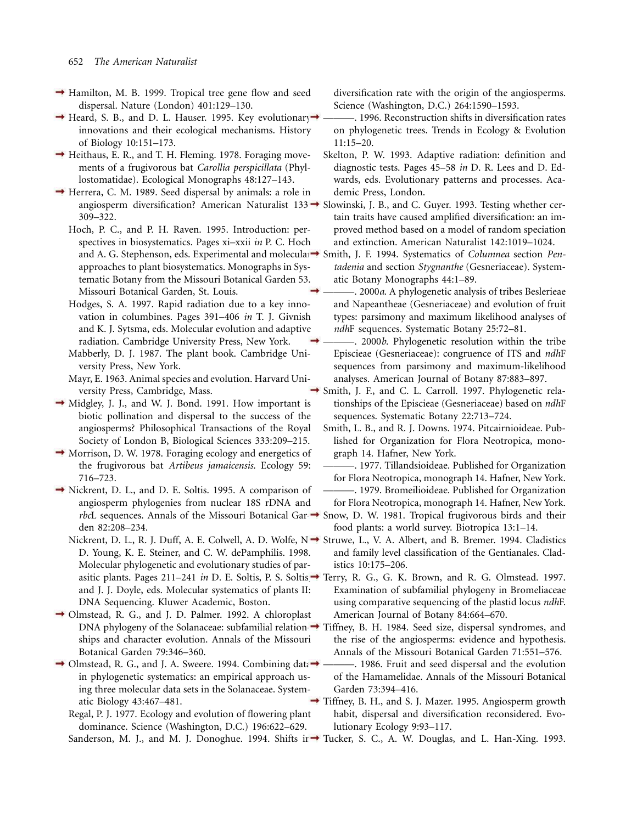- $\rightarrow$  Hamilton, M. B. 1999. Tropical tree gene flow and seed dispersal. Nature (London) 401:129–130.
- $\rightarrow$  Heard, S. B., and D. L. Hauser. 1995. Key evolutionare innovations and their ecological mechanisms. History of Biology 10:151–173.
- Heithaus, E. R., and T. H. Fleming. 1978. Foraging movements of a frugivorous bat *Carollia perspicillata* (Phyllostomatidae). Ecological Monographs 48:127–143.
- $\rightarrow$  Herrera, C. M. 1989. Seed dispersal by animals: a role in 309–322.
	- Hoch, P. C., and P. H. Raven. 1995. Introduction: perspectives in biosystematics. Pages xi–xxii *in* P. C. Hoch and A. G. Stephenson, eds. Experimental and molecula  $\rightarrow$  Smith, J. F. 1994. Systematics of *Columnea* section *Pen*approaches to plant biosystematics. Monographs in Systematic Botany from the Missouri Botanical Garden 53. Missouri Botanical Garden, St. Louis.
	- Hodges, S. A. 1997. Rapid radiation due to a key innovation in columbines. Pages 391–406 *in* T. J. Givnish and K. J. Sytsma, eds. Molecular evolution and adaptive radiation. Cambridge University Press, New York.
	- Mabberly, D. J. 1987. The plant book. Cambridge University Press, New York.
	- Mayr, E. 1963. Animal species and evolution. Harvard University Press, Cambridge, Mass.
- Midgley, J. J., and W. J. Bond. 1991. How important is biotic pollination and dispersal to the success of the angiosperms? Philosophical Transactions of the Royal Society of London B, Biological Sciences 333:209–215.
- Morrison, D. W. 1978. Foraging ecology and energetics of the frugivorous bat *Artibeus jamaicensis*. Ecology 59: 716–723.
- Nickrent, D. L., and D. E. Soltis. 1995. A comparison of angiosperm phylogenies from nuclear 18S rDNA and *rbc*L sequences. Annals of the Missouri Botanical Gar  $\rightarrow$  Snow, D. W. 1981. Tropical frugivorous birds and their den 82:208–234.
	- Nickrent, D. L., R. J. Duff, A. E. Colwell, A. D. Wolfe, N<sup>1</sup> Struwe, L., V. A. Albert, and B. Bremer. 1994. Cladistics D. Young, K. E. Steiner, and C. W. dePamphilis. 1998. Molecular phylogenetic and evolutionary studies of parand J. J. Doyle, eds. Molecular systematics of plants II: DNA Sequencing. Kluwer Academic, Boston.
- Olmstead, R. G., and J. D. Palmer. 1992. A chloroplast ships and character evolution. Annals of the Missouri Botanical Garden 79:346–360.
- $\rightarrow$  Olmstead, R. G., and J. A. Sweere. 1994. Combining data  $\rightarrow$ in phylogenetic systematics: an empirical approach using three molecular data sets in the Solanaceae. Systematic Biology 43:467–481.
	- Regal, P. J. 1977. Ecology and evolution of flowering plant dominance. Science (Washington, D.C.) 196:622–629.

diversification rate with the origin of the angiosperms. Science (Washington, D.C.) 264:1590–1593.

- ———. 1996. Reconstruction shifts in diversification rates on phylogenetic trees. Trends in Ecology & Evolution 11:15–20.
- Skelton, P. W. 1993. Adaptive radiation: definition and diagnostic tests. Pages 45–58 *in* D. R. Lees and D. Edwards, eds. Evolutionary patterns and processes. Academic Press, London.
- angiosperm diversification? American Naturalist 133 Slowinski, J. B., and C. Guyer. 1993. Testing whether certain traits have caused amplified diversification: an improved method based on a model of random speciation and extinction. American Naturalist 142:1019–1024.
	- *tadenia* and section *Stygnanthe* (Gesneriaceae). Systematic Botany Monographs 44:1–89.
	- ———. 2000*a*. A phylogenetic analysis of tribes Beslerieae and Napeantheae (Gesneriaceae) and evolution of fruit types: parsimony and maximum likelihood analyses of *ndh*F sequences. Systematic Botany 25:72–81.
	- ———. 2000*b*. Phylogenetic resolution within the tribe Episcieae (Gesneriaceae): congruence of ITS and *ndh*F sequences from parsimony and maximum-likelihood analyses. American Journal of Botany 87:883–897.
	- Smith, J. F., and C. L. Carroll. 1997. Phylogenetic relationships of the Episcieae (Gesneriaceae) based on *ndh*F sequences. Systematic Botany 22:713–724.
		- Smith, L. B., and R. J. Downs. 1974. Pitcairnioideae. Published for Organization for Flora Neotropica, monograph 14. Hafner, New York.
		- ———. 1977. Tillandsioideae. Published for Organization for Flora Neotropica, monograph 14. Hafner, New York. ———. 1979. Bromeilioideae. Published for Organization
		- for Flora Neotropica, monograph 14. Hafner, New York.
		- food plants: a world survey. Biotropica 13:1–14.
		- and family level classification of the Gentianales. Cladistics 10:175–206.
- asitic plants. Pages 211–241 *in* D. E. Soltis, P. S. Soltis, Terry, R. G., G. K. Brown, and R. G. Olmstead. 1997. Examination of subfamilial phylogeny in Bromeliaceae using comparative sequencing of the plastid locus *ndh*F. American Journal of Botany 84:664–670.
- DNA phylogeny of the Solanaceae: subfamilial relation  $\rightarrow$  Tiffney, B. H. 1984. Seed size, dispersal syndromes, and the rise of the angiosperms: evidence and hypothesis. Annals of the Missouri Botanical Garden 71:551–576.
	- ———. 1986. Fruit and seed dispersal and the evolution of the Hamamelidae. Annals of the Missouri Botanical Garden 73:394–416.
	- Tiffney, B. H., and S. J. Mazer. 1995. Angiosperm growth habit, dispersal and diversification reconsidered. Evolutionary Ecology 9:93–117.

Sanderson, M. J., and M. J. Donoghue. 1994. Shifts in Tucker, S. C., A. W. Douglas, and L. Han-Xing. 1993.